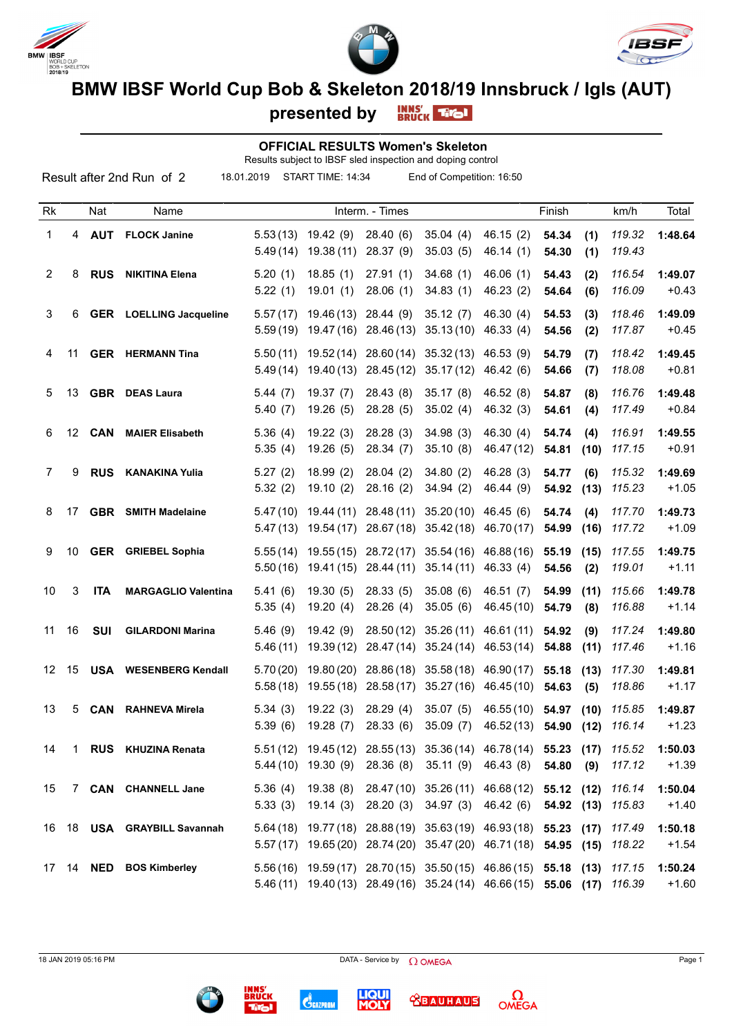





**BMW IBSF World Cup Bob & Skeleton 2018/19 Innsbruck / Igls (AUT)**<br>presented by **ERUCK THOL** 

**presented by**

## **OFFICIAL RESULTS Women's Skeleton**

Results subject to IBSF sled inspection and doping control

| Result after 2nd Run of 2<br>18.01.2019<br>START TIME: 14:34<br>End of Competition: 16:50 |    |            |                                |                      |                          |                         |                                                                                                                                             |                          |                |             |                  |                    |
|-------------------------------------------------------------------------------------------|----|------------|--------------------------------|----------------------|--------------------------|-------------------------|---------------------------------------------------------------------------------------------------------------------------------------------|--------------------------|----------------|-------------|------------------|--------------------|
| Rk                                                                                        |    | Nat        | Name                           |                      |                          | Interm. - Times         |                                                                                                                                             |                          | Finish         |             | km/h             | Total              |
| 1                                                                                         | 4  | <b>AUT</b> | <b>FLOCK Janine</b>            | 5.53(13)<br>5.49(14) | 19.42(9)<br>19.38(11)    | 28.40(6)<br>28.37 (9)   | 35.04(4)<br>35.03(5)                                                                                                                        | 46.15(2)<br>46.14(1)     | 54.34<br>54.30 | (1)<br>(1)  | 119.32<br>119.43 | 1:48.64            |
| 2                                                                                         | 8  | <b>RUS</b> | <b>NIKITINA Elena</b>          | 5.20(1)<br>5.22(1)   | 18.85(1)<br>19.01(1)     | 27.91(1)<br>28.06(1)    | 34.68(1)<br>34.83(1)                                                                                                                        | 46.06(1)<br>46.23(2)     | 54.43<br>54.64 | (2)<br>(6)  | 116.54<br>116.09 | 1:49.07<br>$+0.43$ |
| 3                                                                                         | 6  |            | <b>GER</b> LOELLING Jacqueline | 5.57(17)<br>5.59(19) | 19.46 (13)<br>19.47 (16) | 28.44(9)<br>28.46 (13)  | 35.12(7)<br>35.13(10)                                                                                                                       | 46.30 (4)<br>46.33(4)    | 54.53<br>54.56 | (3)<br>(2)  | 118.46<br>117.87 | 1:49.09<br>$+0.45$ |
| 4                                                                                         | 11 |            | <b>GER</b> HERMANN Tina        | 5.50(11)<br>5.49(14) | 19.52(14)<br>19.40 (13)  | 28.60(14)<br>28.45 (12) | 35.32(13)<br>35.17(12)                                                                                                                      | 46.53(9)<br>46.42 (6)    | 54.79<br>54.66 | (7)<br>(7)  | 118.42<br>118.08 | 1:49.45<br>$+0.81$ |
| 5                                                                                         | 13 |            | <b>GBR</b> DEAS Laura          | 5.44(7)<br>5.40(7)   | 19.37(7)<br>19.26(5)     | 28.43 (8)<br>28.28 (5)  | 35.17(8)<br>35.02(4)                                                                                                                        | 46.52 (8)<br>46.32(3)    | 54.87<br>54.61 | (8)<br>(4)  | 116.76<br>117.49 | 1:49.48<br>$+0.84$ |
| 6                                                                                         | 12 | <b>CAN</b> | <b>MAIER Elisabeth</b>         | 5.36(4)<br>5.35(4)   | 19.22(3)<br>19.26(5)     | 28.28(3)<br>28.34(7)    | 34.98(3)<br>35.10(8)                                                                                                                        | 46.30 (4)<br>46.47 (12)  | 54.74<br>54.81 | (4)<br>(10) | 116.91<br>117.15 | 1:49.55<br>$+0.91$ |
| 7                                                                                         | 9  | <b>RUS</b> | <b>KANAKINA Yulia</b>          | 5.27(2)<br>5.32(2)   | 18.99(2)<br>19.10(2)     | 28.04(2)<br>28.16(2)    | 34.80(2)<br>34.94(2)                                                                                                                        | 46.28(3)<br>46.44 (9)    | 54.77<br>54.92 | (6)<br>(13) | 115.32<br>115.23 | 1:49.69<br>$+1.05$ |
| 8                                                                                         | 17 |            | <b>GBR</b> SMITH Madelaine     | 5.47(10)<br>5.47(13) | 19.44(11)<br>19.54 (17)  | 28.48 (11)              | 35.20(10)<br>28.67 (18) 35.42 (18)                                                                                                          | 46.45 (6)<br>46.70(17)   | 54.74<br>54.99 | (4)<br>(16) | 117.70<br>117.72 | 1:49.73<br>$+1.09$ |
| 9                                                                                         | 10 |            | <b>GER</b> GRIEBEL Sophia      | 5.55(14)<br>5.50(16) | 19.55(15)<br>19.41 (15)  | 28.72(17)<br>28.44 (11) | 35.54 (16)<br>35.14(11)                                                                                                                     | 46.88 (16)<br>46.33(4)   | 55.19<br>54.56 | (15)<br>(2) | 117.55<br>119.01 | 1:49.75<br>$+1.11$ |
| 10                                                                                        | 3  | <b>ITA</b> | <b>MARGAGLIO Valentina</b>     | 5.41(6)<br>5.35(4)   | 19.30(5)<br>19.20(4)     | 28.33(5)<br>28.26(4)    | 35.08(6)<br>35.05(6)                                                                                                                        | 46.51(7)<br>46.45 (10)   | 54.99<br>54.79 | (11)<br>(8) | 115.66<br>116.88 | 1:49.78<br>$+1.14$ |
| 11                                                                                        | 16 | <b>SUI</b> | <b>GILARDONI Marina</b>        | 5.46(9)<br>5.46(11)  | 19.42(9)<br>19.39(12)    | 28.50(12)               | 35.26(11)<br>28.47 (14) 35.24 (14)                                                                                                          | 46.61 (11)<br>46.53 (14) | 54.92<br>54.88 | (9)<br>(11) | 117.24<br>117.46 | 1:49.80<br>$+1.16$ |
| 12                                                                                        | 15 |            | <b>USA</b> WESENBERG Kendall   | 5.70(20)<br>5.58(18) | 19.80(20)<br>19.55(18)   | 28.86(18)<br>28.58(17)  | 35.58 (18)<br>35.27 (16)                                                                                                                    | 46.90 (17)<br>46.45 (10) | 55.18<br>54.63 | (13)<br>(5) | 117.30<br>118.86 | 1:49.81<br>$+1.17$ |
| 13                                                                                        | 5  | <b>CAN</b> | <b>RAHNEVA Mirela</b>          | 5.34(3)<br>5.39(6)   | 19.22(3)                 | 28.29(4)                | 35.07(5)<br>19.28 (7) 28.33 (6) 35.09 (7) 46.52 (13) 54.90 (12) 116.14                                                                      | 46.55 (10) 54.97 (10)    |                |             | 115.85           | 1:49.87<br>$+1.23$ |
| 14                                                                                        |    |            | 1 RUS KHUZINA Renata           |                      | $5.44(10)$ 19.30 (9)     |                         | 5.51 (12) 19.45 (12) 28.55 (13) 35.36 (14) 46.78 (14) 55.23 (17)<br>28.36 (8) 35.11 (9) 46.43 (8)                                           |                          | 54.80          | (9)         | 115.52<br>117.12 | 1:50.03<br>$+1.39$ |
| 15                                                                                        |    |            | 7 CAN CHANNELL Jane            | 5.36(4)<br>5.33(3)   | 19.38(8)<br>19.14(3)     |                         | 28.47(10) 35.26(11) 46.68(12) 55.12 (12)<br>28.20 (3) 34.97 (3) 46.42 (6)                                                                   |                          | 54.92 (13)     |             | 116.14<br>115.83 | 1:50.04<br>$+1.40$ |
| 16                                                                                        |    |            | 18 USA GRAYBILL Savannah       |                      |                          |                         | 5.64 (18) 19.77 (18) 28.88 (19) 35.63 (19) 46.93 (18) 55.23 (17)<br>5.57 (17) 19.65 (20) 28.74 (20) 35.47 (20) 46.71 (18) 54.95 (15)        |                          |                |             | 117.49<br>118.22 | 1:50.18<br>$+1.54$ |
|                                                                                           |    |            | 17 14 NED BOS Kimberley        |                      |                          |                         | 5.56 (16) 19.59 (17) 28.70 (15) 35.50 (15) 46.86 (15) 55.18 (13)<br>5.46 (11) 19.40 (13) 28.49 (16) 35.24 (14) 46.66 (15) 55.06 (17) 116.39 |                          |                |             | 117.15           | 1:50.24<br>$+1.60$ |